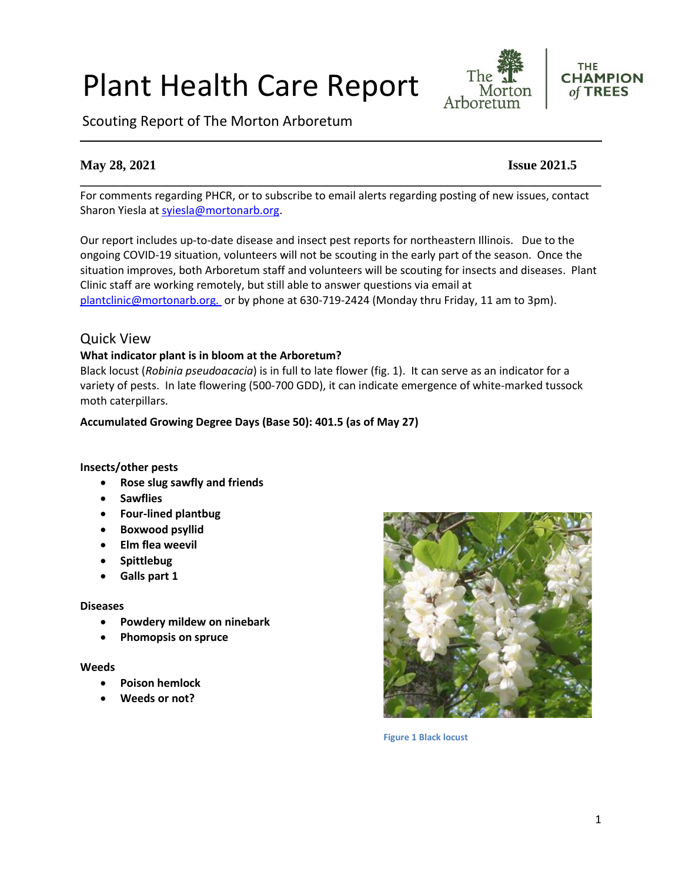# Plant Health Care Report

# Scouting Report of The Morton Arboretum

# **May 28, 2021 Issue 2021.5**

For comments regarding PHCR, or to subscribe to email alerts regarding posting of new issues, contact Sharon Yiesla at [syiesla@mortonarb.org.](mailto:syiesla@mortonarb.org)

**\_\_\_\_\_\_\_\_\_\_\_\_\_\_\_\_\_\_\_\_\_\_\_\_\_\_\_\_\_\_\_\_\_\_\_\_\_\_\_\_\_\_\_\_\_\_\_\_\_\_\_\_\_\_\_\_\_\_\_\_\_\_\_\_\_\_\_\_\_\_\_\_\_\_\_\_\_\_**

Our report includes up-to-date disease and insect pest reports for northeastern Illinois. Due to the ongoing COVID-19 situation, volunteers will not be scouting in the early part of the season. Once the situation improves, both Arboretum staff and volunteers will be scouting for insects and diseases. Plant Clinic staff are working remotely, but still able to answer questions via email at [plantclinic@mortonarb.org.](mailto:plantclinic@mortonarb.org) or by phone at 630-719-2424 (Monday thru Friday, 11 am to 3pm).

# Quick View

#### **What indicator plant is in bloom at the Arboretum?**

Black locust (*Robinia pseudoacacia*) is in full to late flower (fig. 1). It can serve as an indicator for a variety of pests. In late flowering (500-700 GDD), it can indicate emergence of white-marked tussock moth caterpillars.

#### **Accumulated Growing Degree Days (Base 50): 401.5 (as of May 27)**

#### **Insects/other pests**

- **Rose slug sawfly and friends**
- **Sawflies**
- **Four-lined plantbug**
- **Boxwood psyllid**
- **Elm flea weevil**
- **Spittlebug**
- **Galls part 1**

#### **Diseases**

- **Powdery mildew on ninebark**
- **Phomopsis on spruce**

#### **Weeds**

- **Poison hemlock**
- **Weeds or not?**



**Figure 1 Black locust**



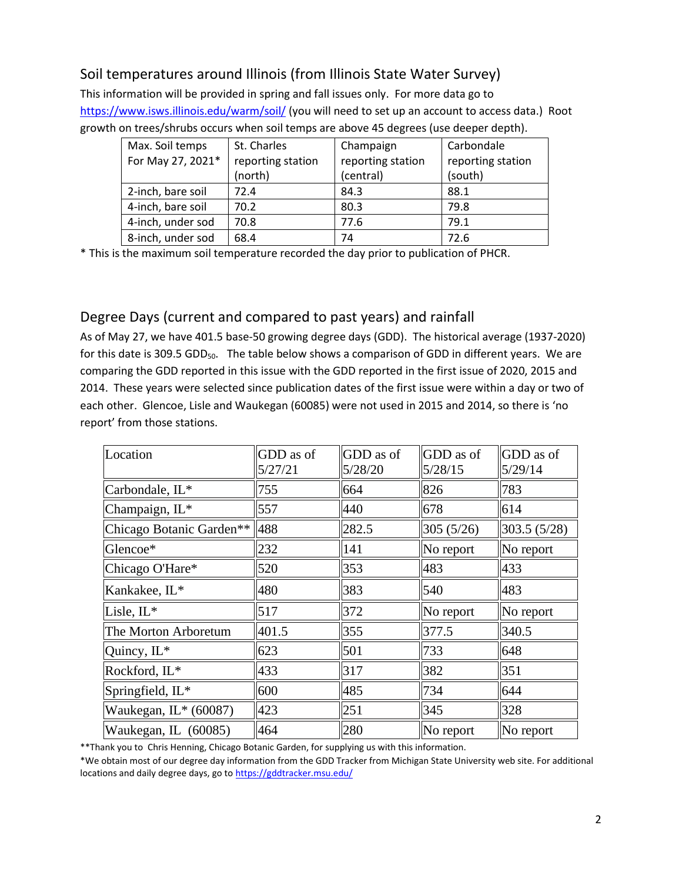# Soil temperatures around Illinois (from Illinois State Water Survey)

This information will be provided in spring and fall issues only. For more data go to <https://www.isws.illinois.edu/warm/soil/> (you will need to set up an account to access data.) Root growth on trees/shrubs occurs when soil temps are above 45 degrees (use deeper depth).

| Max. Soil temps   | St. Charles       | Champaign         | Carbondale        |
|-------------------|-------------------|-------------------|-------------------|
| For May 27, 2021* | reporting station | reporting station | reporting station |
|                   | (north)           | (central)         | (south)           |
| 2-inch, bare soil | 72.4              | 84.3              | 88.1              |
| 4-inch, bare soil | 70.2              | 80.3              | 79.8              |
| 4-inch, under sod | 70.8              | 77.6              | 79.1              |
| 8-inch, under sod | 68.4              | 74                | 72.6              |

\* This is the maximum soil temperature recorded the day prior to publication of PHCR.

# Degree Days (current and compared to past years) and rainfall

As of May 27, we have 401.5 base-50 growing degree days (GDD). The historical average (1937-2020) for this date is 309.5 GDD<sub>50</sub>. The table below shows a comparison of GDD in different years. We are comparing the GDD reported in this issue with the GDD reported in the first issue of 2020, 2015 and 2014. These years were selected since publication dates of the first issue were within a day or two of each other. Glencoe, Lisle and Waukegan (60085) were not used in 2015 and 2014, so there is 'no report' from those stations.

| Location                 | GDD as of<br>5/27/21 | GDD as of<br>5/28/20 | GDD as of<br>5/28/15 | GDD as of<br>5/29/14 |
|--------------------------|----------------------|----------------------|----------------------|----------------------|
| Carbondale, IL*          | 755                  | 664                  | 826                  | 783                  |
| Champaign, IL*           | 557                  | 440                  | 678                  | 614                  |
| Chicago Botanic Garden** | 488                  | 282.5                | 305(5/26)            | 303.5(5/28)          |
| Glencoe*                 | 232                  | 141                  | $\ $ No report       | No report            |
| Chicago O'Hare*          | 520                  | 353                  | 483                  | 433                  |
| Kankakee, IL*            | 480                  | 383                  | 540                  | 483                  |
| Lisle, IL*               | 517                  | 372                  | $\ $ No report       | No report            |
| The Morton Arboretum     | 401.5                | 355                  | 377.5                | 340.5                |
| Quincy, IL*              | 623                  | 501                  | 733                  | 648                  |
| Rockford, IL*            | 433                  | 317                  | 382                  | 351                  |
| Springfield, IL*         | 600                  | 485                  | 734                  | 644                  |
| Waukegan, $IL*(60087)$   | 423                  | 251                  | 345                  | 328                  |
| Waukegan, IL (60085)     | 464                  | 280                  | $\ $ No report       | No report            |

\*\*Thank you to Chris Henning, Chicago Botanic Garden, for supplying us with this information.

\*We obtain most of our degree day information from the GDD Tracker from Michigan State University web site. For additional locations and daily degree days, go to <https://gddtracker.msu.edu/>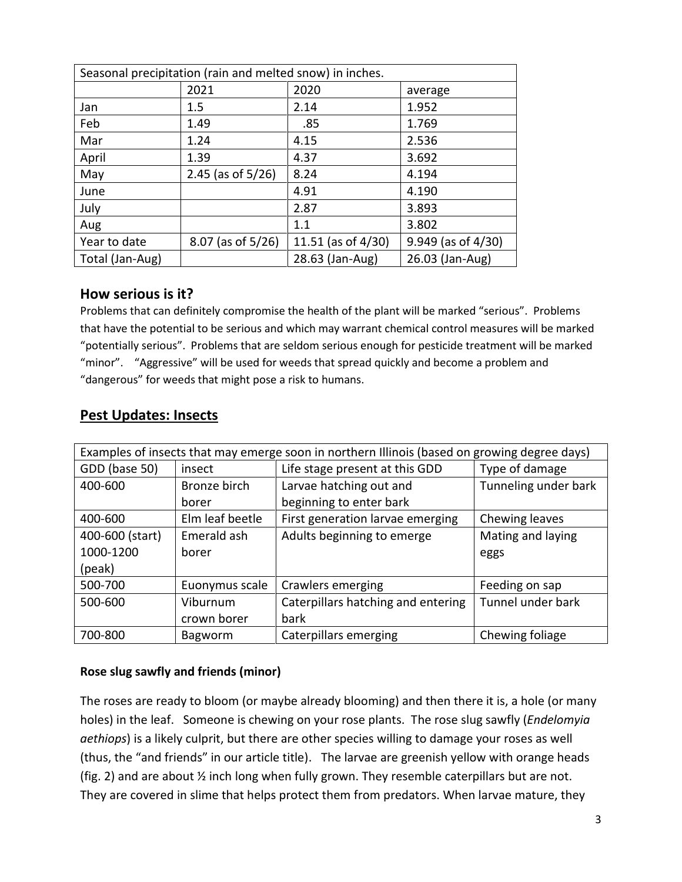| Seasonal precipitation (rain and melted snow) in inches. |                      |                       |                         |
|----------------------------------------------------------|----------------------|-----------------------|-------------------------|
|                                                          | 2021                 | 2020                  | average                 |
| Jan                                                      | 1.5                  | 2.14                  | 1.952                   |
| Feb                                                      | 1.49                 | .85                   | 1.769                   |
| Mar                                                      | 1.24                 | 4.15                  | 2.536                   |
| April                                                    | 1.39                 | 4.37                  | 3.692                   |
| May                                                      | 2.45 (as of $5/26$ ) | 8.24                  | 4.194                   |
| June                                                     |                      | 4.91                  | 4.190                   |
| July                                                     |                      | 2.87                  | 3.893                   |
| Aug                                                      |                      | 1.1                   | 3.802                   |
| Year to date                                             | 8.07 (as of 5/26)    | 11.51 (as of $4/30$ ) | $9.949$ (as of $4/30$ ) |
| Total (Jan-Aug)                                          |                      | 28.63 (Jan-Aug)       | 26.03 (Jan-Aug)         |

# **How serious is it?**

Problems that can definitely compromise the health of the plant will be marked "serious".Problems that have the potential to be serious and which may warrant chemical control measures will be marked "potentially serious". Problems that are seldom serious enough for pesticide treatment will be marked "minor". "Aggressive" will be used for weeds that spread quickly and become a problem and "dangerous" for weeds that might pose a risk to humans.

| Examples of insects that may emerge soon in northern Illinois (based on growing degree days) |                 |                                    |                      |
|----------------------------------------------------------------------------------------------|-----------------|------------------------------------|----------------------|
| GDD (base 50)                                                                                | insect          | Life stage present at this GDD     | Type of damage       |
| 400-600                                                                                      | Bronze birch    | Larvae hatching out and            | Tunneling under bark |
|                                                                                              | borer           | beginning to enter bark            |                      |
| 400-600                                                                                      | Elm leaf beetle | First generation larvae emerging   | Chewing leaves       |
| 400-600 (start)                                                                              | Emerald ash     | Adults beginning to emerge         | Mating and laying    |
| 1000-1200                                                                                    | borer           |                                    | eggs                 |
| (peak)                                                                                       |                 |                                    |                      |
| 500-700                                                                                      | Euonymus scale  | Crawlers emerging                  | Feeding on sap       |
| 500-600                                                                                      | Viburnum        | Caterpillars hatching and entering | Tunnel under bark    |
|                                                                                              | crown borer     | bark                               |                      |
| 700-800                                                                                      | Bagworm         | Caterpillars emerging              | Chewing foliage      |

# **Pest Updates: Insects**

### **Rose slug sawfly and friends (minor)**

The roses are ready to bloom (or maybe already blooming) and then there it is, a hole (or many holes) in the leaf. Someone is chewing on your rose plants. The rose slug sawfly (*Endelomyia aethiops*) is a likely culprit, but there are other species willing to damage your roses as well (thus, the "and friends" in our article title). The larvae are greenish yellow with orange heads (fig. 2) and are about ½ inch long when fully grown. They resemble caterpillars but are not. They are covered in slime that helps protect them from predators. When larvae mature, they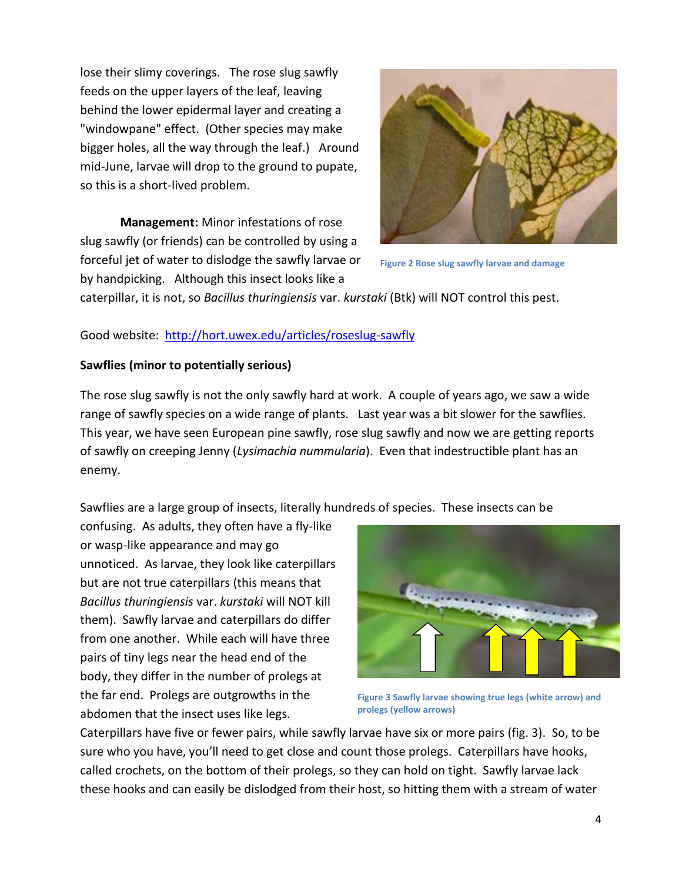lose their slimy coverings. The rose slug sawfly feeds on the upper layers of the leaf, leaving behind the lower epidermal layer and creating a "windowpane" effect. (Other species may make bigger holes, all the way through the leaf.) Around mid-June, larvae will drop to the ground to pupate, so this is a short-lived problem.

**Management:** Minor infestations of rose slug sawfly (or friends) can be controlled by using a forceful jet of water to dislodge the sawfly larvae or by handpicking. Although this insect looks like a



**Figure 2 Rose slug sawfly larvae and damage**

caterpillar, it is not, so *Bacillus thuringiensis* var. *kurstaki* (Btk) will NOT control this pest.

### Good website:<http://hort.uwex.edu/articles/roseslug-sawfly>

#### **Sawflies (minor to potentially serious)**

The rose slug sawfly is not the only sawfly hard at work. A couple of years ago, we saw a wide range of sawfly species on a wide range of plants. Last year was a bit slower for the sawflies. This year, we have seen European pine sawfly, rose slug sawfly and now we are getting reports of sawfly on creeping Jenny (*Lysimachia nummularia*). Even that indestructible plant has an enemy.

Sawflies are a large group of insects, literally hundreds of species. These insects can be

confusing. As adults, they often have a fly-like or wasp-like appearance and may go unnoticed. As larvae, they look like caterpillars but are not true caterpillars (this means that *Bacillus thuringiensis* var. *kurstaki* will NOT kill them). Sawfly larvae and caterpillars do differ from one another. While each will have three pairs of tiny legs near the head end of the body, they differ in the number of prolegs at the far end. Prolegs are outgrowths in the abdomen that the insect uses like legs.



**Figure 3 Sawfly larvae showing true legs (white arrow) and prolegs (yellow arrows)**

Caterpillars have five or fewer pairs, while sawfly larvae have six or more pairs (fig. 3). So, to be sure who you have, you'll need to get close and count those prolegs. Caterpillars have hooks, called crochets, on the bottom of their prolegs, so they can hold on tight. Sawfly larvae lack these hooks and can easily be dislodged from their host, so hitting them with a stream of water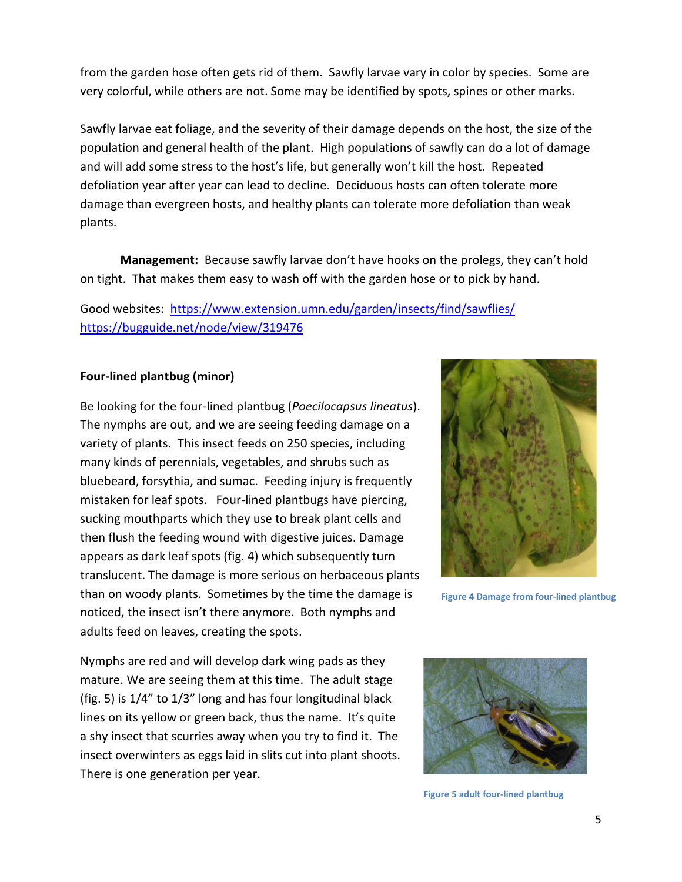from the garden hose often gets rid of them. Sawfly larvae vary in color by species. Some are very colorful, while others are not. Some may be identified by spots, spines or other marks.

Sawfly larvae eat foliage, and the severity of their damage depends on the host, the size of the population and general health of the plant. High populations of sawfly can do a lot of damage and will add some stress to the host's life, but generally won't kill the host. Repeated defoliation year after year can lead to decline. Deciduous hosts can often tolerate more damage than evergreen hosts, and healthy plants can tolerate more defoliation than weak plants.

**Management:** Because sawfly larvae don't have hooks on the prolegs, they can't hold on tight. That makes them easy to wash off with the garden hose or to pick by hand.

Good websites: <https://www.extension.umn.edu/garden/insects/find/sawflies/> <https://bugguide.net/node/view/319476>

#### **Four-lined plantbug (minor)**

Be looking for the four-lined plantbug (*Poecilocapsus lineatus*). The nymphs are out, and we are seeing feeding damage on a variety of plants. This insect feeds on 250 species, including many kinds of perennials, vegetables, and shrubs such as bluebeard, forsythia, and sumac. Feeding injury is frequently mistaken for leaf spots. Four-lined plantbugs have piercing, sucking mouthparts which they use to break plant cells and then flush the feeding wound with digestive juices. Damage appears as dark leaf spots (fig. 4) which subsequently turn translucent. The damage is more serious on herbaceous plants than on woody plants. Sometimes by the time the damage is noticed, the insect isn't there anymore. Both nymphs and adults feed on leaves, creating the spots.

Nymphs are red and will develop dark wing pads as they mature. We are seeing them at this time. The adult stage (fig. 5) is 1/4" to 1/3" long and has four longitudinal black lines on its yellow or green back, thus the name. It's quite a shy insect that scurries away when you try to find it. The insect overwinters as eggs laid in slits cut into plant shoots. There is one generation per year.



**Figure 4 Damage from four-lined plantbug**



**Figure 5 adult four-lined plantbug**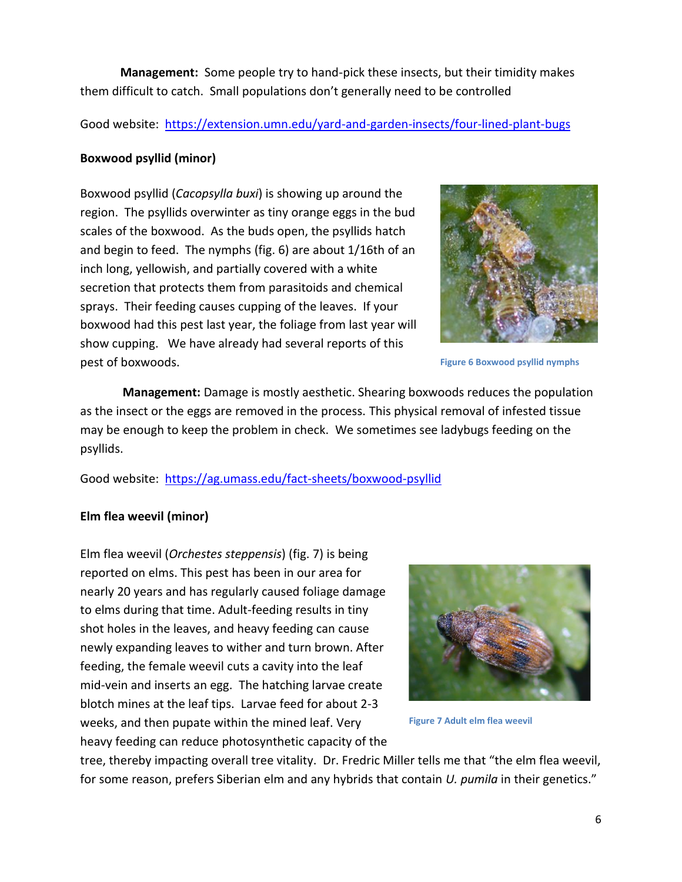**Management:** Some people try to hand-pick these insects, but their timidity makes them difficult to catch. Small populations don't generally need to be controlled

Good website: <https://extension.umn.edu/yard-and-garden-insects/four-lined-plant-bugs>

#### **Boxwood psyllid (minor)**

Boxwood psyllid (*Cacopsylla buxi*) is showing up around the region. The psyllids overwinter as tiny orange eggs in the bud scales of the boxwood. As the buds open, the psyllids hatch and begin to feed. The nymphs (fig. 6) are about 1/16th of an inch long, yellowish, and partially covered with a white secretion that protects them from parasitoids and chemical sprays. Their feeding causes cupping of the leaves. If your boxwood had this pest last year, the foliage from last year will show cupping. We have already had several reports of this pest of boxwoods.

**Management:** Damage is mostly aesthetic. Shearing boxwoods reduces the population as the insect or the eggs are removed in the process. This physical removal of infested tissue may be enough to keep the problem in check. We sometimes see ladybugs feeding on the psyllids.

Good website: <https://ag.umass.edu/fact-sheets/boxwood-psyllid>

#### **Elm flea weevil (minor)**

Elm flea weevil (*Orchestes steppensis*) (fig. 7) is being reported on elms. This pest has been in our area for nearly 20 years and has regularly caused foliage damage to elms during that time. Adult-feeding results in tiny shot holes in the leaves, and heavy feeding can cause newly expanding leaves to wither and turn brown. After feeding, the female weevil cuts a cavity into the leaf mid-vein and inserts an egg. The hatching larvae create blotch mines at the leaf tips. Larvae feed for about 2-3 weeks, and then pupate within the mined leaf. Very heavy feeding can reduce photosynthetic capacity of the



**Figure 7 Adult elm flea weevil**

tree, thereby impacting overall tree vitality. Dr. Fredric Miller tells me that "the elm flea weevil, for some reason, prefers Siberian elm and any hybrids that contain *U. pumila* in their genetics."



**Figure 6 Boxwood psyllid nymphs**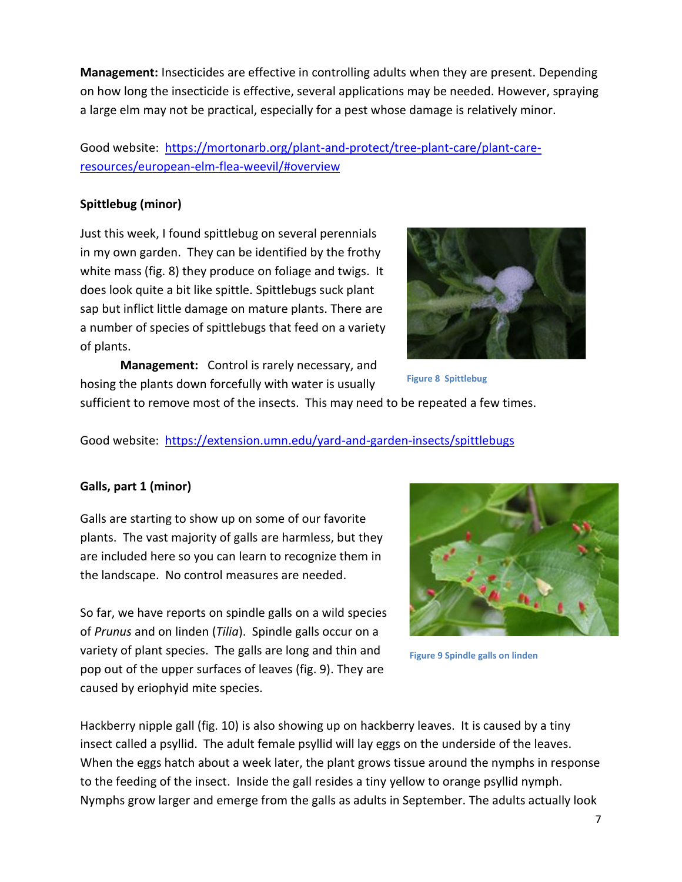**Management:** Insecticides are effective in controlling adults when they are present. Depending on how long the insecticide is effective, several applications may be needed. However, spraying a large elm may not be practical, especially for a pest whose damage is relatively minor.

Good website: [https://mortonarb.org/plant-and-protect/tree-plant-care/plant-care](https://mortonarb.org/plant-and-protect/tree-plant-care/plant-care-resources/european-elm-flea-weevil/#overview)[resources/european-elm-flea-weevil/#overview](https://mortonarb.org/plant-and-protect/tree-plant-care/plant-care-resources/european-elm-flea-weevil/#overview)

#### **Spittlebug (minor)**

Just this week, I found spittlebug on several perennials in my own garden. They can be identified by the frothy white mass (fig. 8) they produce on foliage and twigs. It does look quite a bit like spittle. Spittlebugs suck plant sap but inflict little damage on mature plants. There are a number of species of spittlebugs that feed on a variety of plants.

**Management:** Control is rarely necessary, and hosing the plants down forcefully with water is usually



**Figure 8 Spittlebug**

sufficient to remove most of the insects. This may need to be repeated a few times.

Good website: <https://extension.umn.edu/yard-and-garden-insects/spittlebugs>

# **Galls, part 1 (minor)**

Galls are starting to show up on some of our favorite plants. The vast majority of galls are harmless, but they are included here so you can learn to recognize them in the landscape. No control measures are needed.

So far, we have reports on spindle galls on a wild species of *Prunus* and on linden (*Tilia*). Spindle galls occur on a variety of plant species. The galls are long and thin and pop out of the upper surfaces of leaves (fig. 9). They are caused by eriophyid mite species.



**Figure 9 Spindle galls on linden**

Hackberry nipple gall (fig. 10) is also showing up on hackberry leaves. It is caused by a tiny insect called a psyllid. The adult female psyllid will lay eggs on the underside of the leaves. When the eggs hatch about a week later, the plant grows tissue around the nymphs in response to the feeding of the insect. Inside the gall resides a tiny yellow to orange psyllid nymph. Nymphs grow larger and emerge from the galls as adults in September. The adults actually look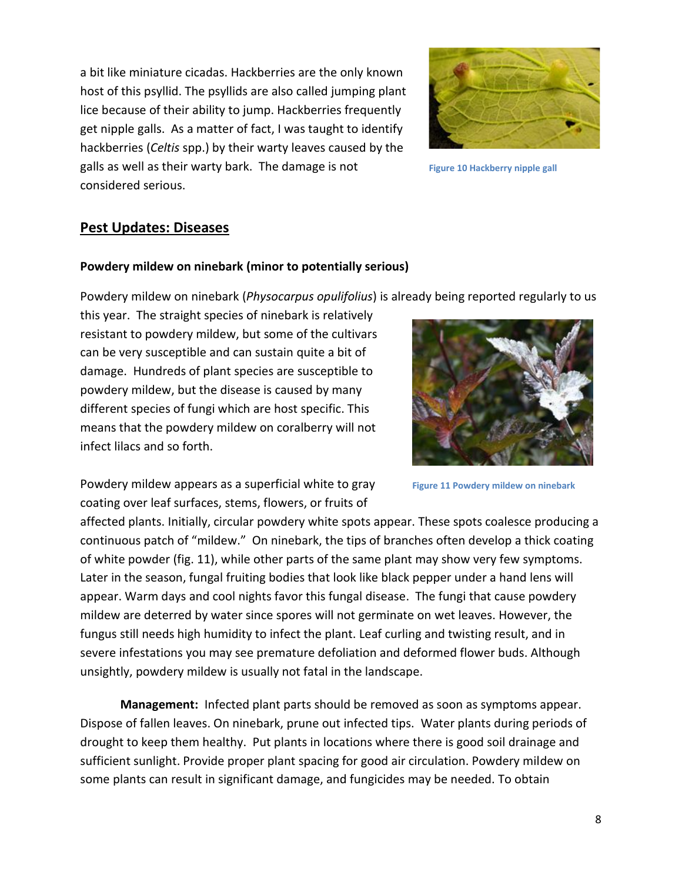a bit like miniature cicadas. Hackberries are the only known host of this psyllid. The psyllids are also called jumping plant lice because of their ability to jump. Hackberries frequently get nipple galls. As a matter of fact, I was taught to identify hackberries (*Celtis* spp.) by their warty leaves caused by the galls as well as their warty bark. The damage is not considered serious.



**Figure 10 Hackberry nipple gall**

#### **Pest Updates: Diseases**

#### **Powdery mildew on ninebark (minor to potentially serious)**

Powdery mildew on ninebark (*Physocarpus opulifolius*) is already being reported regularly to us

this year. The straight species of ninebark is relatively resistant to powdery mildew, but some of the cultivars can be very susceptible and can sustain quite a bit of damage. Hundreds of plant species are susceptible to powdery mildew, but the disease is caused by many different species of fungi which are host specific. This means that the powdery mildew on coralberry will not infect lilacs and so forth.



Powdery mildew appears as a superficial white to gray coating over leaf surfaces, stems, flowers, or fruits of

**Figure 11 Powdery mildew on ninebark**

affected plants. Initially, circular powdery white spots appear. These spots coalesce producing a continuous patch of "mildew." On ninebark, the tips of branches often develop a thick coating of white powder (fig. 11), while other parts of the same plant may show very few symptoms. Later in the season, fungal fruiting bodies that look like black pepper under a hand lens will appear. Warm days and cool nights favor this fungal disease. The fungi that cause powdery mildew are deterred by water since spores will not germinate on wet leaves. However, the fungus still needs high humidity to infect the plant. Leaf curling and twisting result, and in severe infestations you may see premature defoliation and deformed flower buds. Although unsightly, powdery mildew is usually not fatal in the landscape.

**Management:** Infected plant parts should be removed as soon as symptoms appear. Dispose of fallen leaves. On ninebark, prune out infected tips. Water plants during periods of drought to keep them healthy. Put plants in locations where there is good soil drainage and sufficient sunlight. Provide proper plant spacing for good air circulation. Powdery mildew on some plants can result in significant damage, and fungicides may be needed. To obtain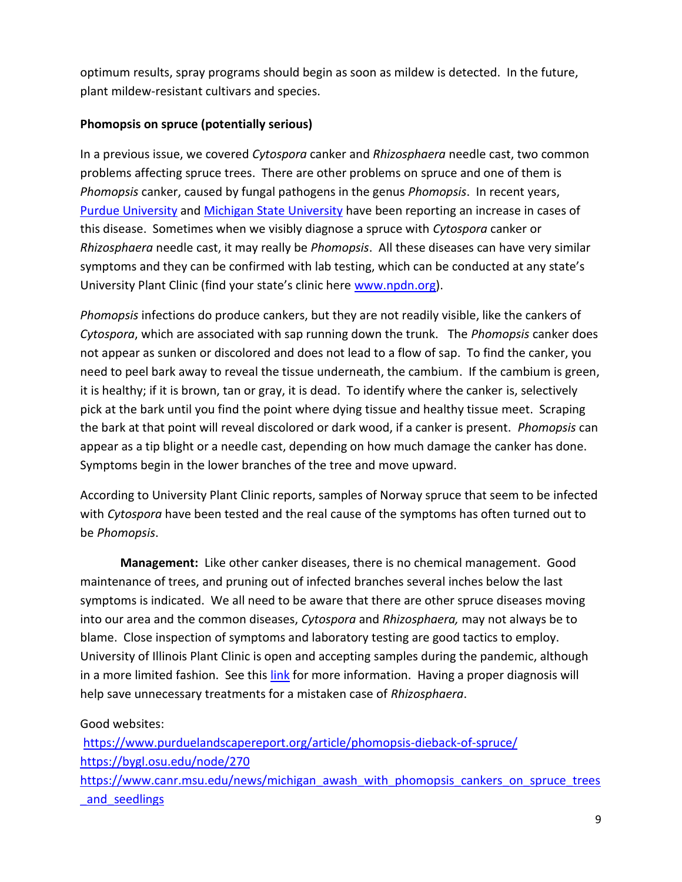optimum results, spray programs should begin as soon as mildew is detected. In the future, plant mildew-resistant cultivars and species.

## **Phomopsis on spruce (potentially serious)**

In a previous issue, we covered *Cytospora* canker and *Rhizosphaera* needle cast, two common problems affecting spruce trees. There are other problems on spruce and one of them is *Phomopsis* canker, caused by fungal pathogens in the genus *Phomopsis*. In recent years, [Purdue University](https://www.purduelandscapereport.org/article/phomopsis-dieback-of-spruce/) and [Michigan State University](https://www.canr.msu.edu/news/michigan_awash_with_phomopsis_cankers_on_spruce_trees_and_seedlings) have been reporting an increase in cases of this disease. Sometimes when we visibly diagnose a spruce with *Cytospora* canker or *Rhizosphaera* needle cast, it may really be *Phomopsis*. All these diseases can have very similar symptoms and they can be confirmed with lab testing, which can be conducted at any state's University Plant Clinic (find your state's clinic here [www.npdn.org\)](http://www.npdn.org/).

*Phomopsis* infections do produce cankers, but they are not readily visible, like the cankers of *Cytospora*, which are associated with sap running down the trunk. The *Phomopsis* canker does not appear as sunken or discolored and does not lead to a flow of sap. To find the canker, you need to peel bark away to reveal the tissue underneath, the cambium. If the cambium is green, it is healthy; if it is brown, tan or gray, it is dead. To identify where the canker is, selectively pick at the bark until you find the point where dying tissue and healthy tissue meet. Scraping the bark at that point will reveal discolored or dark wood, if a canker is present. *Phomopsis* can appear as a tip blight or a needle cast, depending on how much damage the canker has done. Symptoms begin in the lower branches of the tree and move upward.

According to University Plant Clinic reports, samples of Norway spruce that seem to be infected with *Cytospora* have been tested and the real cause of the symptoms has often turned out to be *Phomopsis*.

**Management:** Like other canker diseases, there is no chemical management. Good maintenance of trees, and pruning out of infected branches several inches below the last symptoms is indicated. We all need to be aware that there are other spruce diseases moving into our area and the common diseases, *Cytospora* and *Rhizosphaera,* may not always be to blame. Close inspection of symptoms and laboratory testing are good tactics to employ. University of Illinois Plant Clinic is open and accepting samples during the pandemic, although in a more limited fashion. See this [link](http://hyg.ipm.illinois.edu/article.php?id=1199) for more information. Having a proper diagnosis will help save unnecessary treatments for a mistaken case of *Rhizosphaera*.

### Good websites:

<https://www.purduelandscapereport.org/article/phomopsis-dieback-of-spruce/> <https://bygl.osu.edu/node/270> [https://www.canr.msu.edu/news/michigan\\_awash\\_with\\_phomopsis\\_cankers\\_on\\_spruce\\_trees](https://www.canr.msu.edu/news/michigan_awash_with_phomopsis_cankers_on_spruce_trees_and_seedlings) [\\_and\\_seedlings](https://www.canr.msu.edu/news/michigan_awash_with_phomopsis_cankers_on_spruce_trees_and_seedlings)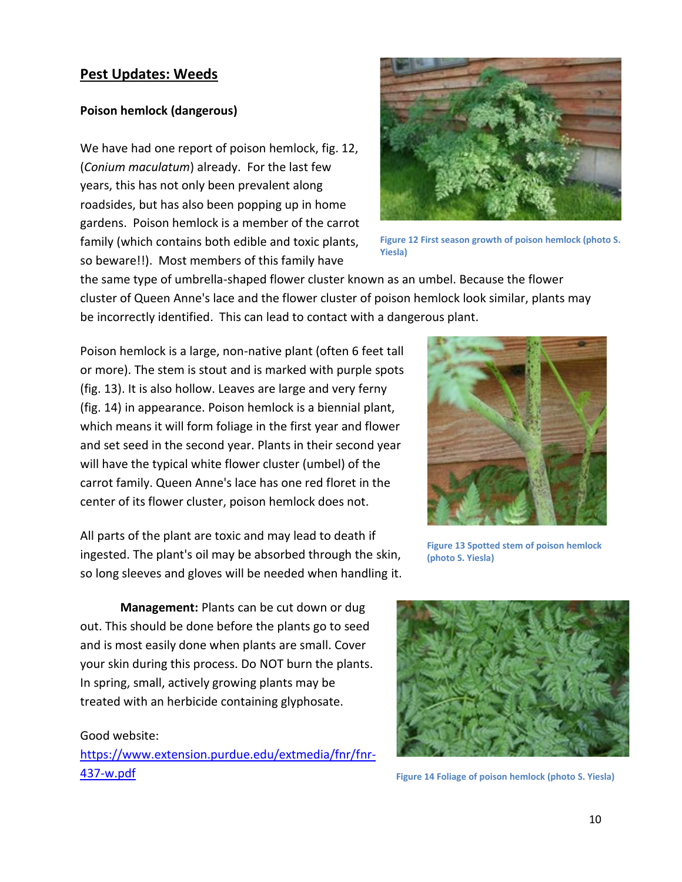### **Pest Updates: Weeds**

#### **Poison hemlock (dangerous)**

We have had one report of poison hemlock, fig. 12, (*Conium maculatum*) already. For the last few years, this has not only been prevalent along roadsides, but has also been popping up in home gardens. Poison hemlock is a member of the carrot family (which contains both edible and toxic plants, so beware!!). Most members of this family have



**Figure 12 First season growth of poison hemlock (photo S. Yiesla)**

the same type of umbrella-shaped flower cluster known as an umbel. Because the flower cluster of Queen Anne's lace and the flower cluster of poison hemlock look similar, plants may be incorrectly identified. This can lead to contact with a dangerous plant.

Poison hemlock is a large, non-native plant (often 6 feet tall or more). The stem is stout and is marked with purple spots (fig. 13). It is also hollow. Leaves are large and very ferny (fig. 14) in appearance. Poison hemlock is a biennial plant, which means it will form foliage in the first year and flower and set seed in the second year. Plants in their second year will have the typical white flower cluster (umbel) of the carrot family. Queen Anne's lace has one red floret in the center of its flower cluster, poison hemlock does not.

All parts of the plant are toxic and may lead to death if ingested. The plant's oil may be absorbed through the skin, so long sleeves and gloves will be needed when handling it.

**Management:** Plants can be cut down or dug out. This should be done before the plants go to seed and is most easily done when plants are small. Cover your skin during this process. Do NOT burn the plants. In spring, small, actively growing plants may be treated with an herbicide containing glyphosate.

#### Good website:

[https://www.extension.purdue.edu/extmedia/fnr/fnr-](https://www.extension.purdue.edu/extmedia/fnr/fnr-437-w.pdf)[437-w.pdf](https://www.extension.purdue.edu/extmedia/fnr/fnr-437-w.pdf)



**Figure 13 Spotted stem of poison hemlock (photo S. Yiesla)**



**Figure 14 Foliage of poison hemlock (photo S. Yiesla)**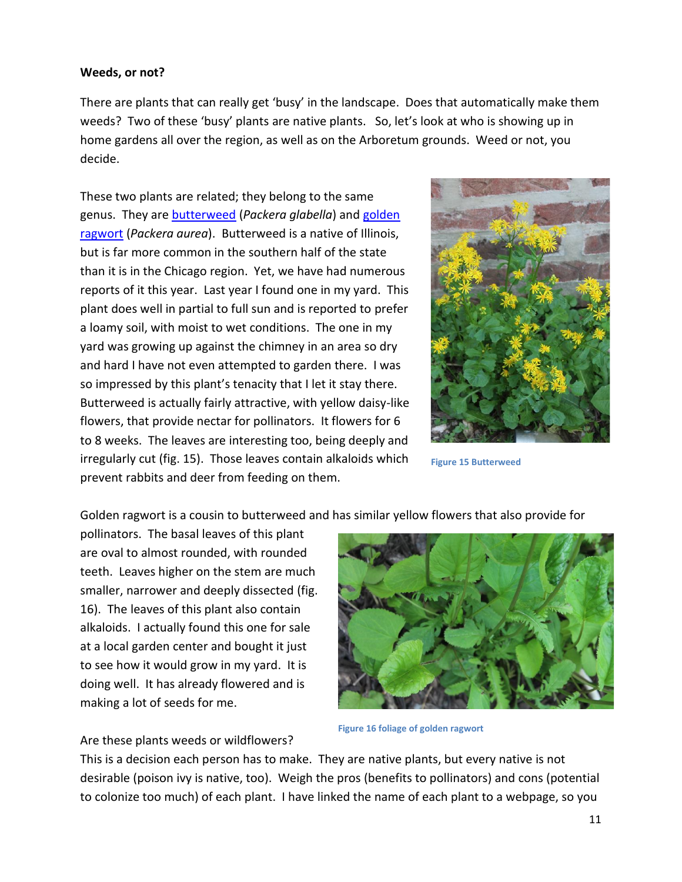#### **Weeds, or not?**

There are plants that can really get 'busy' in the landscape. Does that automatically make them weeds? Two of these 'busy' plants are native plants. So, let's look at who is showing up in home gardens all over the region, as well as on the Arboretum grounds. Weed or not, you decide.

These two plants are related; they belong to the same genus. They are [butterweed](https://www.illinoiswildflowers.info/wetland/plants/butterweed.htm) (*Packera glabella*) and [golden](https://www.illinoiswildflowers.info/woodland/plants/gold_ragwort.htm)  [ragwort](https://www.illinoiswildflowers.info/woodland/plants/gold_ragwort.htm) (*Packera aurea*). Butterweed is a native of Illinois, but is far more common in the southern half of the state than it is in the Chicago region. Yet, we have had numerous reports of it this year. Last year I found one in my yard. This plant does well in partial to full sun and is reported to prefer a loamy soil, with moist to wet conditions. The one in my yard was growing up against the chimney in an area so dry and hard I have not even attempted to garden there. I was so impressed by this plant's tenacity that I let it stay there. Butterweed is actually fairly attractive, with yellow daisy-like flowers, that provide nectar for pollinators. It flowers for 6 to 8 weeks. The leaves are interesting too, being deeply and irregularly cut (fig. 15). Those leaves contain alkaloids which prevent rabbits and deer from feeding on them.



**Figure 15 Butterweed**

Golden ragwort is a cousin to butterweed and has similar yellow flowers that also provide for

pollinators. The basal leaves of this plant are oval to almost rounded, with rounded teeth. Leaves higher on the stem are much smaller, narrower and deeply dissected (fig. 16). The leaves of this plant also contain alkaloids. I actually found this one for sale at a local garden center and bought it just to see how it would grow in my yard. It is doing well. It has already flowered and is making a lot of seeds for me.

#### Are these plants weeds or wildflowers?



**Figure 16 foliage of golden ragwort**

This is a decision each person has to make. They are native plants, but every native is not desirable (poison ivy is native, too). Weigh the pros (benefits to pollinators) and cons (potential to colonize too much) of each plant. I have linked the name of each plant to a webpage, so you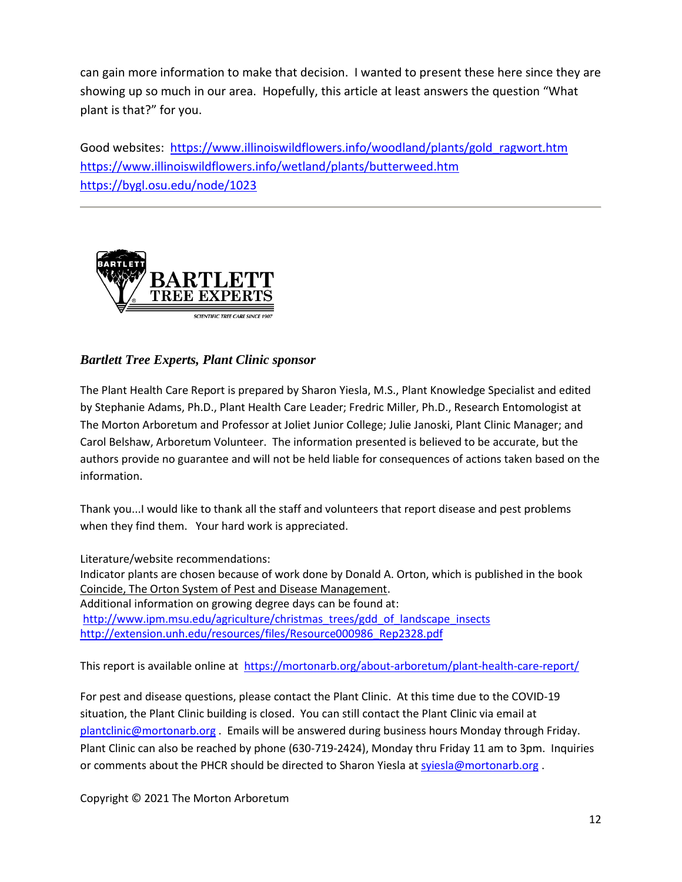can gain more information to make that decision. I wanted to present these here since they are showing up so much in our area. Hopefully, this article at least answers the question "What plant is that?" for you.

Good websites: [https://www.illinoiswildflowers.info/woodland/plants/gold\\_ragwort.htm](https://www.illinoiswildflowers.info/woodland/plants/gold_ragwort.htm) <https://www.illinoiswildflowers.info/wetland/plants/butterweed.htm> <https://bygl.osu.edu/node/1023>



# *Bartlett Tree Experts, Plant Clinic sponsor*

The Plant Health Care Report is prepared by Sharon Yiesla, M.S., Plant Knowledge Specialist and edited by Stephanie Adams, Ph.D., Plant Health Care Leader; Fredric Miller, Ph.D., Research Entomologist at The Morton Arboretum and Professor at Joliet Junior College; Julie Janoski, Plant Clinic Manager; and Carol Belshaw, Arboretum Volunteer. The information presented is believed to be accurate, but the authors provide no guarantee and will not be held liable for consequences of actions taken based on the information.

Thank you...I would like to thank all the staff and volunteers that report disease and pest problems when they find them. Your hard work is appreciated.

Literature/website recommendations: Indicator plants are chosen because of work done by Donald A. Orton, which is published in the book Coincide, The Orton System of Pest and Disease Management. Additional information on growing degree days can be found at: [http://www.ipm.msu.edu/agriculture/christmas\\_trees/gdd\\_of\\_landscape\\_insects](http://www.ipm.msu.edu/agriculture/christmas_trees/gdd_of_landscape_insects) [http://extension.unh.edu/resources/files/Resource000986\\_Rep2328.pdf](http://extension.unh.edu/resources/files/Resource000986_Rep2328.pdf)

This report is available online at <https://mortonarb.org/about-arboretum/plant-health-care-report/>

For pest and disease questions, please contact the Plant Clinic. At this time due to the COVID-19 situation, the Plant Clinic building is closed. You can still contact the Plant Clinic via email at [plantclinic@mortonarb.org](mailto:plantclinic@mortonarb.org) . Emails will be answered during business hours Monday through Friday. Plant Clinic can also be reached by phone (630-719-2424), Monday thru Friday 11 am to 3pm. Inquiries or comments about the PHCR should be directed to Sharon Yiesla at [syiesla@mortonarb.org](mailto:syiesla@mortonarb.org).

Copyright © 2021 The Morton Arboretum